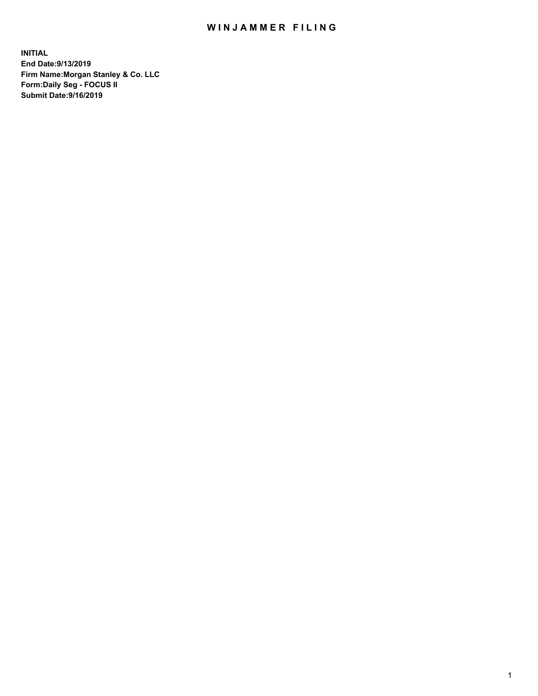## WIN JAMMER FILING

**INITIAL End Date:9/13/2019 Firm Name:Morgan Stanley & Co. LLC Form:Daily Seg - FOCUS II Submit Date:9/16/2019**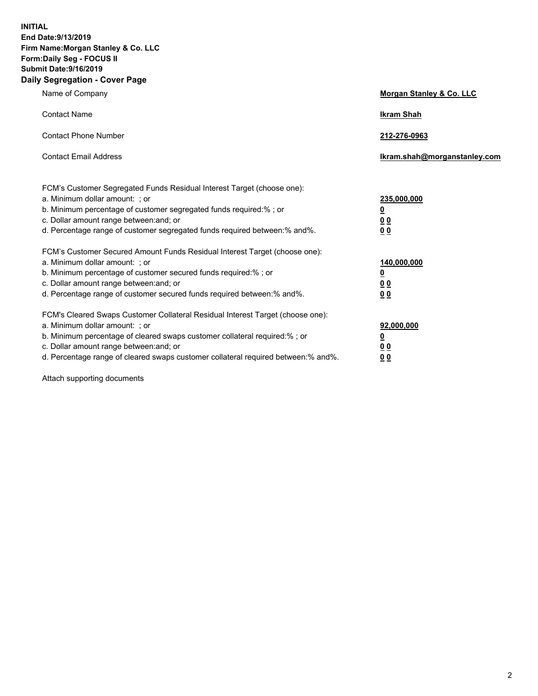**INITIAL End Date:9/13/2019 Firm Name:Morgan Stanley & Co. LLC Form:Daily Seg - FOCUS II Submit Date:9/16/2019 Daily Segregation - Cover Page**

| Name of Company                                                                   | Morgan Stanley & Co. LLC     |
|-----------------------------------------------------------------------------------|------------------------------|
| <b>Contact Name</b>                                                               | <b>Ikram Shah</b>            |
| <b>Contact Phone Number</b>                                                       | 212-276-0963                 |
| <b>Contact Email Address</b>                                                      | Ikram.shah@morganstanley.com |
| FCM's Customer Segregated Funds Residual Interest Target (choose one):            |                              |
| a. Minimum dollar amount: ; or                                                    | 235,000,000                  |
| b. Minimum percentage of customer segregated funds required:% ; or                | <u>0</u>                     |
| c. Dollar amount range between: and; or                                           | <u>0 0</u>                   |
| d. Percentage range of customer segregated funds required between: % and %.       | 00                           |
| FCM's Customer Secured Amount Funds Residual Interest Target (choose one):        |                              |
| a. Minimum dollar amount: ; or                                                    | 140,000,000                  |
| b. Minimum percentage of customer secured funds required:%; or                    | <u>0</u>                     |
| c. Dollar amount range between: and; or                                           | 0 <sub>0</sub>               |
| d. Percentage range of customer secured funds required between:% and%.            | 0 <sub>0</sub>               |
| FCM's Cleared Swaps Customer Collateral Residual Interest Target (choose one):    |                              |
| a. Minimum dollar amount: ; or                                                    | 92,000,000                   |
| b. Minimum percentage of cleared swaps customer collateral required:% ; or        | <u>0</u>                     |
| c. Dollar amount range between: and; or                                           | 0 Q                          |
| d. Percentage range of cleared swaps customer collateral required between:% and%. | 00                           |

Attach supporting documents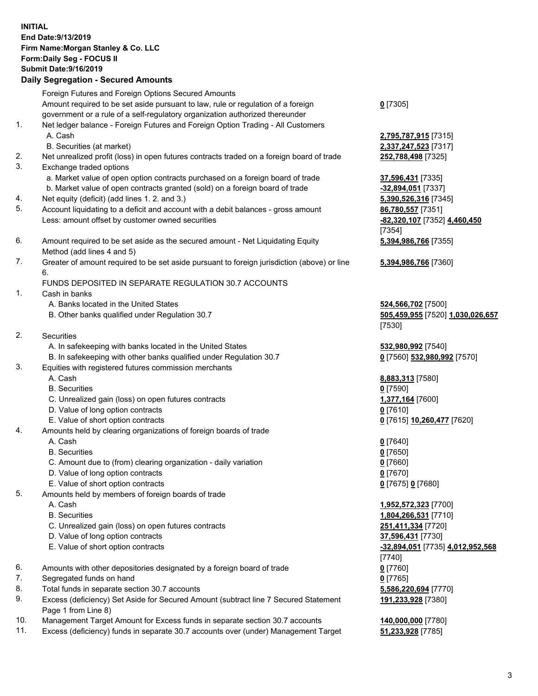## **INITIAL End Date:9/13/2019 Firm Name:Morgan Stanley & Co. LLC Form:Daily Seg - FOCUS II Submit Date:9/16/2019 Daily Segregation - Secured Amounts** Foreign Futures and Foreign Options Secured Amounts Amount required to be set aside pursuant to law, rule or regulation of a foreign government or a rule of a self-regulatory organization authorized thereunder 1. Net ledger balance - Foreign Futures and Foreign Option Trading - All Customers A. Cash **2,795,787,915** [7315]

- B. Securities (at market) **2,337,247,523** [7317]
- 2. Net unrealized profit (loss) in open futures contracts traded on a foreign board of trade **252,788,498** [7325]
- 3. Exchange traded options
	- a. Market value of open option contracts purchased on a foreign board of trade **37,596,431** [7335]
	- b. Market value of open contracts granted (sold) on a foreign board of trade **-32,894,051** [7337]
- 4. Net equity (deficit) (add lines 1. 2. and 3.) **5,390,526,316** [7345]
- 5. Account liquidating to a deficit and account with a debit balances gross amount **86,780,557** [7351] Less: amount offset by customer owned securities **-82,320,107** [7352] **4,460,450**
- 6. Amount required to be set aside as the secured amount Net Liquidating Equity Method (add lines 4 and 5)
- 7. Greater of amount required to be set aside pursuant to foreign jurisdiction (above) or line 6.

## FUNDS DEPOSITED IN SEPARATE REGULATION 30.7 ACCOUNTS

- 1. Cash in banks
	- A. Banks located in the United States **524,566,702** [7500]
	- B. Other banks qualified under Regulation 30.7 **505,459,955** [7520] **1,030,026,657**
- 2. Securities
	- A. In safekeeping with banks located in the United States **532,980,992** [7540]
	- B. In safekeeping with other banks qualified under Regulation 30.7 **0** [7560] **532,980,992** [7570]
- 3. Equities with registered futures commission merchants
	-
	- B. Securities **0** [7590]
	- C. Unrealized gain (loss) on open futures contracts **1,377,164** [7600]
	- D. Value of long option contracts **0** [7610]
- E. Value of short option contracts **0** [7615] **10,260,477** [7620]
- 4. Amounts held by clearing organizations of foreign boards of trade
	- A. Cash **0** [7640]
	- B. Securities **0** [7650]
	- C. Amount due to (from) clearing organization daily variation **0** [7660]
	- D. Value of long option contracts **0** [7670]
	- E. Value of short option contracts **0** [7675] **0** [7680]
- 5. Amounts held by members of foreign boards of trade
	-
	-
	- C. Unrealized gain (loss) on open futures contracts **251,411,334** [7720]
	- D. Value of long option contracts **37,596,431** [7730]
	- E. Value of short option contracts **-32,894,051** [7735] **4,012,952,568**
- 6. Amounts with other depositories designated by a foreign board of trade **0** [7760]
- 7. Segregated funds on hand **0** [7765]
- 8. Total funds in separate section 30.7 accounts **5,586,220,694** [7770]
- 9. Excess (deficiency) Set Aside for Secured Amount (subtract line 7 Secured Statement Page 1 from Line 8)
- 10. Management Target Amount for Excess funds in separate section 30.7 accounts **140,000,000** [7780]
- 11. Excess (deficiency) funds in separate 30.7 accounts over (under) Management Target **51,233,928** [7785]

**0** [7305]

[7354] **5,394,986,766** [7355]

**5,394,986,766** [7360]

[7530]

A. Cash **8,883,313** [7580]

 A. Cash **1,952,572,323** [7700] B. Securities **1,804,266,531** [7710] [7740] **191,233,928** [7380]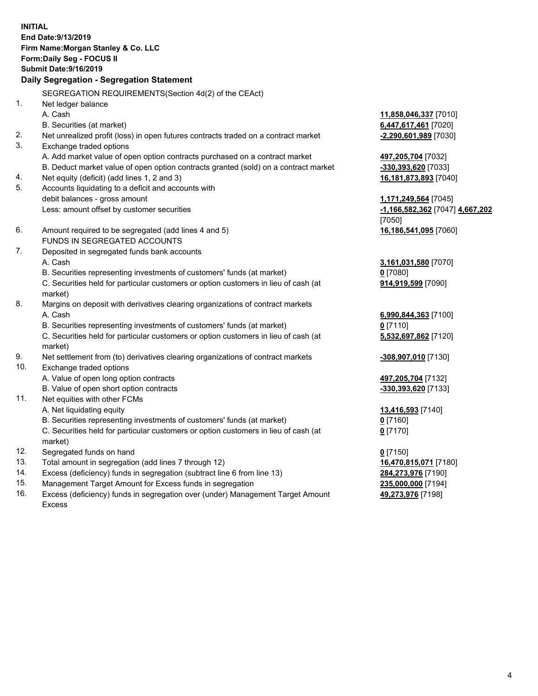**INITIAL End Date:9/13/2019 Firm Name:Morgan Stanley & Co. LLC Form:Daily Seg - FOCUS II Submit Date:9/16/2019 Daily Segregation - Segregation Statement** SEGREGATION REQUIREMENTS(Section 4d(2) of the CEAct) 1. Net ledger balance A. Cash **11,858,046,337** [7010] B. Securities (at market) **6,447,617,461** [7020] 2. Net unrealized profit (loss) in open futures contracts traded on a contract market **-2,290,601,989** [7030] 3. Exchange traded options A. Add market value of open option contracts purchased on a contract market **497,205,704** [7032] B. Deduct market value of open option contracts granted (sold) on a contract market **-330,393,620** [7033] 4. Net equity (deficit) (add lines 1, 2 and 3) **16,181,873,893** [7040] 5. Accounts liquidating to a deficit and accounts with debit balances - gross amount **1,171,249,564** [7045] Less: amount offset by customer securities **-1,166,582,362** [7047] **4,667,202** [7050] 6. Amount required to be segregated (add lines 4 and 5) **16,186,541,095** [7060] FUNDS IN SEGREGATED ACCOUNTS 7. Deposited in segregated funds bank accounts A. Cash **3,161,031,580** [7070] B. Securities representing investments of customers' funds (at market) **0** [7080] C. Securities held for particular customers or option customers in lieu of cash (at market) **914,919,599** [7090] 8. Margins on deposit with derivatives clearing organizations of contract markets A. Cash **6,990,844,363** [7100] B. Securities representing investments of customers' funds (at market) **0** [7110] C. Securities held for particular customers or option customers in lieu of cash (at market) **5,532,697,862** [7120] 9. Net settlement from (to) derivatives clearing organizations of contract markets **-308,907,010** [7130] 10. Exchange traded options A. Value of open long option contracts **497,205,704** [7132] B. Value of open short option contracts **-330,393,620** [7133] 11. Net equities with other FCMs A. Net liquidating equity **13,416,593** [7140] B. Securities representing investments of customers' funds (at market) **0** [7160] C. Securities held for particular customers or option customers in lieu of cash (at market) **0** [7170] 12. Segregated funds on hand **0** [7150] 13. Total amount in segregation (add lines 7 through 12) **16,470,815,071** [7180] 14. Excess (deficiency) funds in segregation (subtract line 6 from line 13) **284,273,976** [7190]

- 15. Management Target Amount for Excess funds in segregation **235,000,000** [7194]
- 16. Excess (deficiency) funds in segregation over (under) Management Target Amount Excess

**49,273,976** [7198]